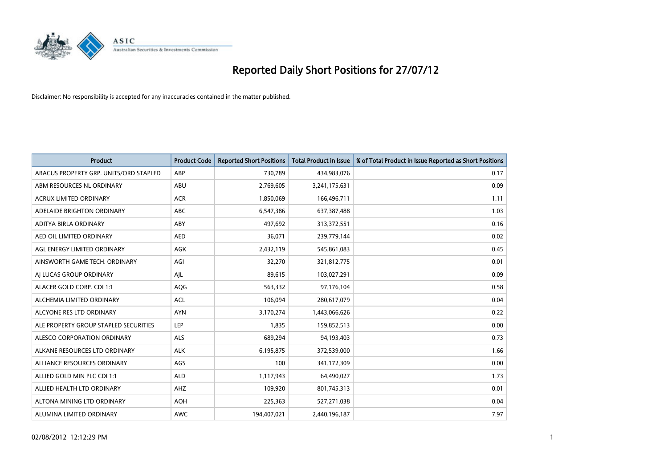

| <b>Product</b>                         | <b>Product Code</b> | <b>Reported Short Positions</b> | <b>Total Product in Issue</b> | % of Total Product in Issue Reported as Short Positions |
|----------------------------------------|---------------------|---------------------------------|-------------------------------|---------------------------------------------------------|
| ABACUS PROPERTY GRP. UNITS/ORD STAPLED | ABP                 | 730,789                         | 434,983,076                   | 0.17                                                    |
| ABM RESOURCES NL ORDINARY              | ABU                 | 2,769,605                       | 3,241,175,631                 | 0.09                                                    |
| <b>ACRUX LIMITED ORDINARY</b>          | <b>ACR</b>          | 1,850,069                       | 166,496,711                   | 1.11                                                    |
| ADELAIDE BRIGHTON ORDINARY             | <b>ABC</b>          | 6,547,386                       | 637, 387, 488                 | 1.03                                                    |
| ADITYA BIRLA ORDINARY                  | ABY                 | 497,692                         | 313,372,551                   | 0.16                                                    |
| AED OIL LIMITED ORDINARY               | <b>AED</b>          | 36,071                          | 239,779,144                   | 0.02                                                    |
| AGL ENERGY LIMITED ORDINARY            | <b>AGK</b>          | 2,432,119                       | 545,861,083                   | 0.45                                                    |
| AINSWORTH GAME TECH. ORDINARY          | AGI                 | 32,270                          | 321,812,775                   | 0.01                                                    |
| AI LUCAS GROUP ORDINARY                | AJL                 | 89,615                          | 103,027,291                   | 0.09                                                    |
| ALACER GOLD CORP. CDI 1:1              | AQG                 | 563,332                         | 97,176,104                    | 0.58                                                    |
| ALCHEMIA LIMITED ORDINARY              | <b>ACL</b>          | 106,094                         | 280,617,079                   | 0.04                                                    |
| ALCYONE RES LTD ORDINARY               | <b>AYN</b>          | 3,170,274                       | 1,443,066,626                 | 0.22                                                    |
| ALE PROPERTY GROUP STAPLED SECURITIES  | LEP                 | 1,835                           | 159,852,513                   | 0.00                                                    |
| ALESCO CORPORATION ORDINARY            | ALS                 | 689,294                         | 94,193,403                    | 0.73                                                    |
| ALKANE RESOURCES LTD ORDINARY          | <b>ALK</b>          | 6,195,875                       | 372,539,000                   | 1.66                                                    |
| ALLIANCE RESOURCES ORDINARY            | AGS                 | 100                             | 341,172,309                   | 0.00                                                    |
| ALLIED GOLD MIN PLC CDI 1:1            | <b>ALD</b>          | 1,117,943                       | 64,490,027                    | 1.73                                                    |
| ALLIED HEALTH LTD ORDINARY             | AHZ                 | 109,920                         | 801,745,313                   | 0.01                                                    |
| ALTONA MINING LTD ORDINARY             | <b>AOH</b>          | 225,363                         | 527,271,038                   | 0.04                                                    |
| ALUMINA LIMITED ORDINARY               | <b>AWC</b>          | 194,407,021                     | 2,440,196,187                 | 7.97                                                    |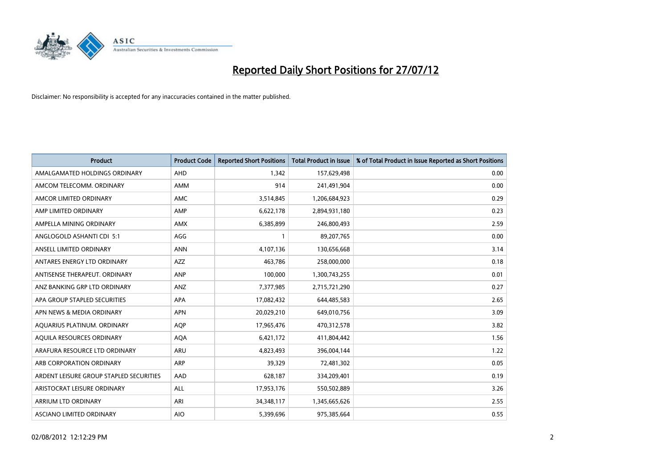

| <b>Product</b>                          | <b>Product Code</b> | <b>Reported Short Positions</b> | <b>Total Product in Issue</b> | % of Total Product in Issue Reported as Short Positions |
|-----------------------------------------|---------------------|---------------------------------|-------------------------------|---------------------------------------------------------|
| AMALGAMATED HOLDINGS ORDINARY           | <b>AHD</b>          | 1,342                           | 157,629,498                   | 0.00                                                    |
| AMCOM TELECOMM. ORDINARY                | <b>AMM</b>          | 914                             | 241,491,904                   | 0.00                                                    |
| AMCOR LIMITED ORDINARY                  | <b>AMC</b>          | 3,514,845                       | 1,206,684,923                 | 0.29                                                    |
| AMP LIMITED ORDINARY                    | AMP                 | 6,622,178                       | 2,894,931,180                 | 0.23                                                    |
| AMPELLA MINING ORDINARY                 | <b>AMX</b>          | 6,385,899                       | 246,800,493                   | 2.59                                                    |
| ANGLOGOLD ASHANTI CDI 5:1               | AGG                 |                                 | 89,207,765                    | 0.00                                                    |
| ANSELL LIMITED ORDINARY                 | <b>ANN</b>          | 4,107,136                       | 130,656,668                   | 3.14                                                    |
| ANTARES ENERGY LTD ORDINARY             | <b>AZZ</b>          | 463,786                         | 258,000,000                   | 0.18                                                    |
| ANTISENSE THERAPEUT. ORDINARY           | ANP                 | 100,000                         | 1,300,743,255                 | 0.01                                                    |
| ANZ BANKING GRP LTD ORDINARY            | <b>ANZ</b>          | 7,377,985                       | 2,715,721,290                 | 0.27                                                    |
| APA GROUP STAPLED SECURITIES            | <b>APA</b>          | 17,082,432                      | 644,485,583                   | 2.65                                                    |
| APN NEWS & MEDIA ORDINARY               | <b>APN</b>          | 20,029,210                      | 649,010,756                   | 3.09                                                    |
| AQUARIUS PLATINUM. ORDINARY             | <b>AOP</b>          | 17,965,476                      | 470,312,578                   | 3.82                                                    |
| AQUILA RESOURCES ORDINARY               | <b>AQA</b>          | 6,421,172                       | 411,804,442                   | 1.56                                                    |
| ARAFURA RESOURCE LTD ORDINARY           | ARU                 | 4,823,493                       | 396,004,144                   | 1.22                                                    |
| ARB CORPORATION ORDINARY                | <b>ARP</b>          | 39,329                          | 72,481,302                    | 0.05                                                    |
| ARDENT LEISURE GROUP STAPLED SECURITIES | AAD                 | 628,187                         | 334,209,401                   | 0.19                                                    |
| ARISTOCRAT LEISURE ORDINARY             | <b>ALL</b>          | 17,953,176                      | 550,502,889                   | 3.26                                                    |
| <b>ARRIUM LTD ORDINARY</b>              | ARI                 | 34, 348, 117                    | 1,345,665,626                 | 2.55                                                    |
| <b>ASCIANO LIMITED ORDINARY</b>         | <b>AIO</b>          | 5.399.696                       | 975,385,664                   | 0.55                                                    |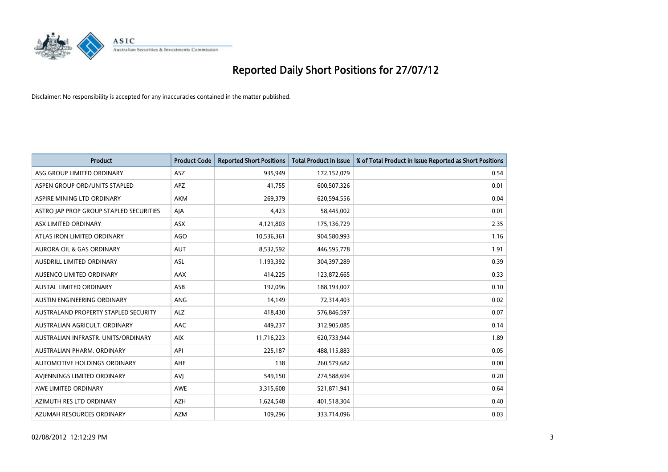

| <b>Product</b>                              | <b>Product Code</b> | <b>Reported Short Positions</b> | <b>Total Product in Issue</b> | % of Total Product in Issue Reported as Short Positions |
|---------------------------------------------|---------------------|---------------------------------|-------------------------------|---------------------------------------------------------|
| ASG GROUP LIMITED ORDINARY                  | <b>ASZ</b>          | 935,949                         | 172,152,079                   | 0.54                                                    |
| ASPEN GROUP ORD/UNITS STAPLED               | <b>APZ</b>          | 41,755                          | 600,507,326                   | 0.01                                                    |
| ASPIRE MINING LTD ORDINARY                  | <b>AKM</b>          | 269,379                         | 620,594,556                   | 0.04                                                    |
| ASTRO JAP PROP GROUP STAPLED SECURITIES     | AIA                 | 4,423                           | 58,445,002                    | 0.01                                                    |
| ASX LIMITED ORDINARY                        | <b>ASX</b>          | 4,121,803                       | 175,136,729                   | 2.35                                                    |
| ATLAS IRON LIMITED ORDINARY                 | <b>AGO</b>          | 10,536,361                      | 904,580,993                   | 1.16                                                    |
| <b>AURORA OIL &amp; GAS ORDINARY</b>        | <b>AUT</b>          | 8,532,592                       | 446,595,778                   | 1.91                                                    |
| AUSDRILL LIMITED ORDINARY                   | <b>ASL</b>          | 1,193,392                       | 304,397,289                   | 0.39                                                    |
| AUSENCO LIMITED ORDINARY                    | AAX                 | 414,225                         | 123,872,665                   | 0.33                                                    |
| <b>AUSTAL LIMITED ORDINARY</b>              | ASB                 | 192,096                         | 188,193,007                   | 0.10                                                    |
| AUSTIN ENGINEERING ORDINARY                 | ANG                 | 14,149                          | 72,314,403                    | 0.02                                                    |
| <b>AUSTRALAND PROPERTY STAPLED SECURITY</b> | <b>ALZ</b>          | 418,430                         | 576,846,597                   | 0.07                                                    |
| AUSTRALIAN AGRICULT. ORDINARY               | AAC                 | 449,237                         | 312,905,085                   | 0.14                                                    |
| AUSTRALIAN INFRASTR, UNITS/ORDINARY         | <b>AIX</b>          | 11,716,223                      | 620,733,944                   | 1.89                                                    |
| AUSTRALIAN PHARM, ORDINARY                  | API                 | 225,187                         | 488,115,883                   | 0.05                                                    |
| AUTOMOTIVE HOLDINGS ORDINARY                | AHE                 | 138                             | 260,579,682                   | 0.00                                                    |
| AVIENNINGS LIMITED ORDINARY                 | AVI                 | 549,150                         | 274,588,694                   | 0.20                                                    |
| AWE LIMITED ORDINARY                        | <b>AWE</b>          | 3,315,608                       | 521,871,941                   | 0.64                                                    |
| AZIMUTH RES LTD ORDINARY                    | <b>AZH</b>          | 1,624,548                       | 401,518,304                   | 0.40                                                    |
| AZUMAH RESOURCES ORDINARY                   | <b>AZM</b>          | 109,296                         | 333,714,096                   | 0.03                                                    |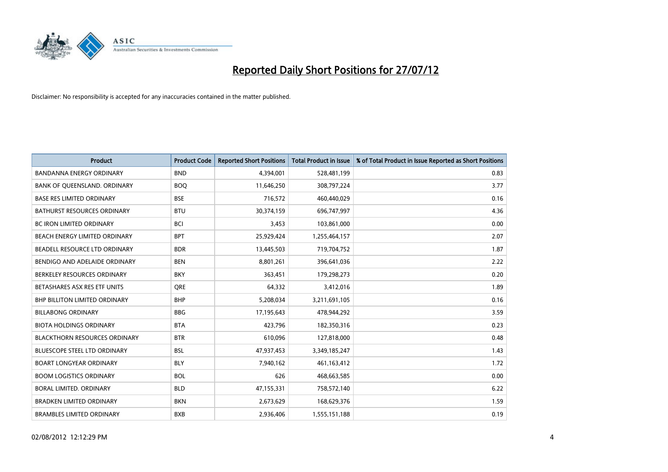

| <b>Product</b>                       | <b>Product Code</b> | <b>Reported Short Positions</b> | <b>Total Product in Issue</b> | % of Total Product in Issue Reported as Short Positions |
|--------------------------------------|---------------------|---------------------------------|-------------------------------|---------------------------------------------------------|
| <b>BANDANNA ENERGY ORDINARY</b>      | <b>BND</b>          | 4,394,001                       | 528,481,199                   | 0.83                                                    |
| BANK OF QUEENSLAND. ORDINARY         | <b>BOO</b>          | 11,646,250                      | 308,797,224                   | 3.77                                                    |
| <b>BASE RES LIMITED ORDINARY</b>     | <b>BSE</b>          | 716,572                         | 460,440,029                   | 0.16                                                    |
| <b>BATHURST RESOURCES ORDINARY</b>   | <b>BTU</b>          | 30,374,159                      | 696,747,997                   | 4.36                                                    |
| <b>BC IRON LIMITED ORDINARY</b>      | <b>BCI</b>          | 3,453                           | 103,861,000                   | 0.00                                                    |
| BEACH ENERGY LIMITED ORDINARY        | <b>BPT</b>          | 25,929,424                      | 1,255,464,157                 | 2.07                                                    |
| BEADELL RESOURCE LTD ORDINARY        | <b>BDR</b>          | 13,445,503                      | 719,704,752                   | 1.87                                                    |
| BENDIGO AND ADELAIDE ORDINARY        | <b>BEN</b>          | 8,801,261                       | 396,641,036                   | 2.22                                                    |
| BERKELEY RESOURCES ORDINARY          | <b>BKY</b>          | 363,451                         | 179,298,273                   | 0.20                                                    |
| BETASHARES ASX RES ETF UNITS         | <b>ORE</b>          | 64,332                          | 3,412,016                     | 1.89                                                    |
| BHP BILLITON LIMITED ORDINARY        | <b>BHP</b>          | 5,208,034                       | 3,211,691,105                 | 0.16                                                    |
| <b>BILLABONG ORDINARY</b>            | <b>BBG</b>          | 17,195,643                      | 478,944,292                   | 3.59                                                    |
| <b>BIOTA HOLDINGS ORDINARY</b>       | <b>BTA</b>          | 423,796                         | 182,350,316                   | 0.23                                                    |
| <b>BLACKTHORN RESOURCES ORDINARY</b> | <b>BTR</b>          | 610,096                         | 127,818,000                   | 0.48                                                    |
| <b>BLUESCOPE STEEL LTD ORDINARY</b>  | <b>BSL</b>          | 47,937,453                      | 3,349,185,247                 | 1.43                                                    |
| <b>BOART LONGYEAR ORDINARY</b>       | <b>BLY</b>          | 7,940,162                       | 461, 163, 412                 | 1.72                                                    |
| <b>BOOM LOGISTICS ORDINARY</b>       | <b>BOL</b>          | 626                             | 468,663,585                   | 0.00                                                    |
| BORAL LIMITED. ORDINARY              | <b>BLD</b>          | 47,155,331                      | 758,572,140                   | 6.22                                                    |
| <b>BRADKEN LIMITED ORDINARY</b>      | <b>BKN</b>          | 2,673,629                       | 168,629,376                   | 1.59                                                    |
| <b>BRAMBLES LIMITED ORDINARY</b>     | <b>BXB</b>          | 2.936.406                       | 1,555,151,188                 | 0.19                                                    |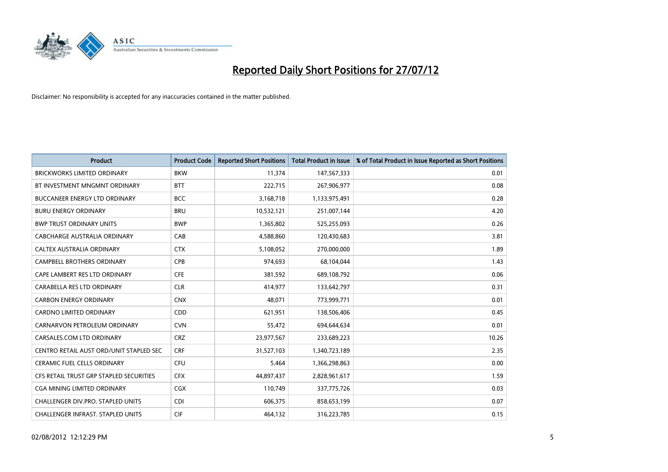

| <b>Product</b>                          | <b>Product Code</b> | <b>Reported Short Positions</b> | <b>Total Product in Issue</b> | % of Total Product in Issue Reported as Short Positions |
|-----------------------------------------|---------------------|---------------------------------|-------------------------------|---------------------------------------------------------|
| <b>BRICKWORKS LIMITED ORDINARY</b>      | <b>BKW</b>          | 11,374                          | 147,567,333                   | 0.01                                                    |
| BT INVESTMENT MNGMNT ORDINARY           | <b>BTT</b>          | 222,715                         | 267,906,977                   | 0.08                                                    |
| <b>BUCCANEER ENERGY LTD ORDINARY</b>    | <b>BCC</b>          | 3,168,718                       | 1,133,975,491                 | 0.28                                                    |
| <b>BURU ENERGY ORDINARY</b>             | <b>BRU</b>          | 10,532,121                      | 251,007,144                   | 4.20                                                    |
| <b>BWP TRUST ORDINARY UNITS</b>         | <b>BWP</b>          | 1,365,802                       | 525,255,093                   | 0.26                                                    |
| CABCHARGE AUSTRALIA ORDINARY            | CAB                 | 4,588,860                       | 120,430,683                   | 3.81                                                    |
| CALTEX AUSTRALIA ORDINARY               | <b>CTX</b>          | 5,108,052                       | 270,000,000                   | 1.89                                                    |
| CAMPBELL BROTHERS ORDINARY              | <b>CPB</b>          | 974,693                         | 68,104,044                    | 1.43                                                    |
| CAPE LAMBERT RES LTD ORDINARY           | <b>CFE</b>          | 381,592                         | 689,108,792                   | 0.06                                                    |
| CARABELLA RES LTD ORDINARY              | <b>CLR</b>          | 414,977                         | 133,642,797                   | 0.31                                                    |
| <b>CARBON ENERGY ORDINARY</b>           | <b>CNX</b>          | 48,071                          | 773,999,771                   | 0.01                                                    |
| <b>CARDNO LIMITED ORDINARY</b>          | <b>CDD</b>          | 621,951                         | 138,506,406                   | 0.45                                                    |
| CARNARVON PETROLEUM ORDINARY            | <b>CVN</b>          | 55,472                          | 694,644,634                   | 0.01                                                    |
| CARSALES.COM LTD ORDINARY               | <b>CRZ</b>          | 23,977,567                      | 233,689,223                   | 10.26                                                   |
| CENTRO RETAIL AUST ORD/UNIT STAPLED SEC | <b>CRF</b>          | 31,527,103                      | 1,340,723,189                 | 2.35                                                    |
| CERAMIC FUEL CELLS ORDINARY             | CFU                 | 5,464                           | 1,366,298,863                 | 0.00                                                    |
| CFS RETAIL TRUST GRP STAPLED SECURITIES | <b>CFX</b>          | 44,897,437                      | 2,828,961,617                 | 1.59                                                    |
| <b>CGA MINING LIMITED ORDINARY</b>      | CGX                 | 110,749                         | 337,775,726                   | 0.03                                                    |
| CHALLENGER DIV.PRO. STAPLED UNITS       | <b>CDI</b>          | 606,375                         | 858,653,199                   | 0.07                                                    |
| CHALLENGER INFRAST. STAPLED UNITS       | <b>CIF</b>          | 464,132                         | 316,223,785                   | 0.15                                                    |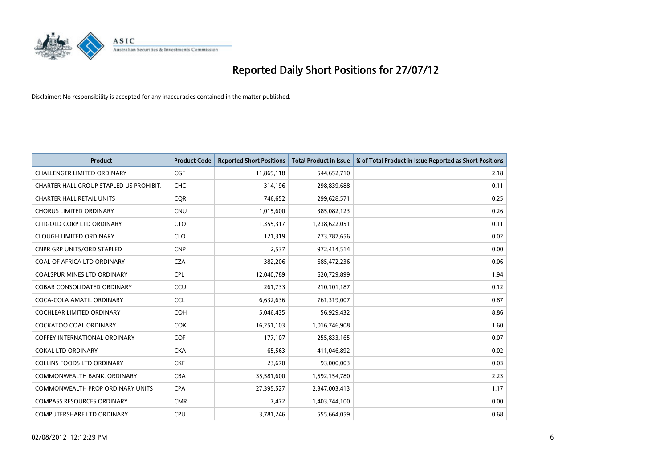

| <b>Product</b>                          | <b>Product Code</b> | <b>Reported Short Positions</b> | <b>Total Product in Issue</b> | % of Total Product in Issue Reported as Short Positions |
|-----------------------------------------|---------------------|---------------------------------|-------------------------------|---------------------------------------------------------|
| <b>CHALLENGER LIMITED ORDINARY</b>      | <b>CGF</b>          | 11,869,118                      | 544,652,710                   | 2.18                                                    |
| CHARTER HALL GROUP STAPLED US PROHIBIT. | <b>CHC</b>          | 314,196                         | 298,839,688                   | 0.11                                                    |
| <b>CHARTER HALL RETAIL UNITS</b>        | <b>COR</b>          | 746,652                         | 299,628,571                   | 0.25                                                    |
| <b>CHORUS LIMITED ORDINARY</b>          | <b>CNU</b>          | 1,015,600                       | 385,082,123                   | 0.26                                                    |
| CITIGOLD CORP LTD ORDINARY              | <b>CTO</b>          | 1,355,317                       | 1,238,622,051                 | 0.11                                                    |
| <b>CLOUGH LIMITED ORDINARY</b>          | <b>CLO</b>          | 121,319                         | 773,787,656                   | 0.02                                                    |
| <b>CNPR GRP UNITS/ORD STAPLED</b>       | <b>CNP</b>          | 2,537                           | 972,414,514                   | 0.00                                                    |
| COAL OF AFRICA LTD ORDINARY             | <b>CZA</b>          | 382,206                         | 685,472,236                   | 0.06                                                    |
| COALSPUR MINES LTD ORDINARY             | <b>CPL</b>          | 12,040,789                      | 620,729,899                   | 1.94                                                    |
| <b>COBAR CONSOLIDATED ORDINARY</b>      | CCU                 | 261,733                         | 210,101,187                   | 0.12                                                    |
| COCA-COLA AMATIL ORDINARY               | <b>CCL</b>          | 6,632,636                       | 761,319,007                   | 0.87                                                    |
| COCHLEAR LIMITED ORDINARY               | <b>COH</b>          | 5,046,435                       | 56,929,432                    | 8.86                                                    |
| <b>COCKATOO COAL ORDINARY</b>           | <b>COK</b>          | 16,251,103                      | 1,016,746,908                 | 1.60                                                    |
| <b>COFFEY INTERNATIONAL ORDINARY</b>    | <b>COF</b>          | 177,107                         | 255,833,165                   | 0.07                                                    |
| <b>COKAL LTD ORDINARY</b>               | <b>CKA</b>          | 65,563                          | 411,046,892                   | 0.02                                                    |
| <b>COLLINS FOODS LTD ORDINARY</b>       | <b>CKF</b>          | 23,670                          | 93,000,003                    | 0.03                                                    |
| COMMONWEALTH BANK, ORDINARY             | <b>CBA</b>          | 35,581,600                      | 1,592,154,780                 | 2.23                                                    |
| COMMONWEALTH PROP ORDINARY UNITS        | <b>CPA</b>          | 27,395,527                      | 2,347,003,413                 | 1.17                                                    |
| <b>COMPASS RESOURCES ORDINARY</b>       | <b>CMR</b>          | 7,472                           | 1,403,744,100                 | 0.00                                                    |
| COMPUTERSHARE LTD ORDINARY              | <b>CPU</b>          | 3,781,246                       | 555,664,059                   | 0.68                                                    |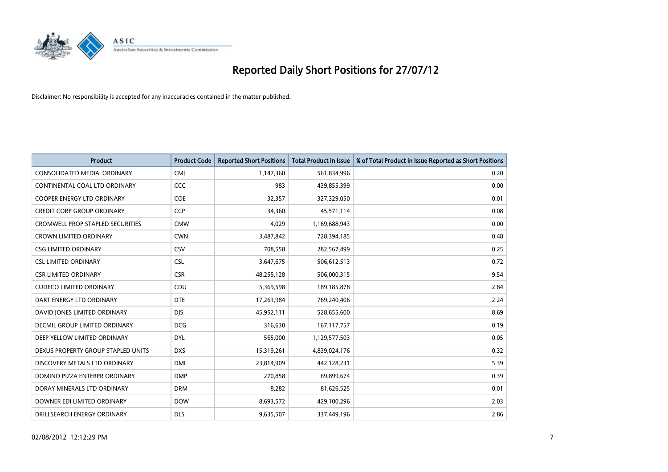

| <b>Product</b>                          | <b>Product Code</b> | <b>Reported Short Positions</b> | <b>Total Product in Issue</b> | % of Total Product in Issue Reported as Short Positions |
|-----------------------------------------|---------------------|---------------------------------|-------------------------------|---------------------------------------------------------|
| CONSOLIDATED MEDIA, ORDINARY            | <b>CMI</b>          | 1,147,360                       | 561,834,996                   | 0.20                                                    |
| CONTINENTAL COAL LTD ORDINARY           | CCC                 | 983                             | 439,855,399                   | 0.00                                                    |
| <b>COOPER ENERGY LTD ORDINARY</b>       | <b>COE</b>          | 32,357                          | 327,329,050                   | 0.01                                                    |
| CREDIT CORP GROUP ORDINARY              | <b>CCP</b>          | 34,360                          | 45,571,114                    | 0.08                                                    |
| <b>CROMWELL PROP STAPLED SECURITIES</b> | <b>CMW</b>          | 4,029                           | 1,169,688,943                 | 0.00                                                    |
| <b>CROWN LIMITED ORDINARY</b>           | <b>CWN</b>          | 3,487,842                       | 728,394,185                   | 0.48                                                    |
| <b>CSG LIMITED ORDINARY</b>             | CSV                 | 708.558                         | 282,567,499                   | 0.25                                                    |
| <b>CSL LIMITED ORDINARY</b>             | <b>CSL</b>          | 3,647,675                       | 506,612,513                   | 0.72                                                    |
| <b>CSR LIMITED ORDINARY</b>             | <b>CSR</b>          | 48,255,128                      | 506,000,315                   | 9.54                                                    |
| <b>CUDECO LIMITED ORDINARY</b>          | CDU                 | 5,369,598                       | 189, 185, 878                 | 2.84                                                    |
| DART ENERGY LTD ORDINARY                | <b>DTE</b>          | 17,263,984                      | 769,240,406                   | 2.24                                                    |
| DAVID JONES LIMITED ORDINARY            | <b>DJS</b>          | 45,952,111                      | 528,655,600                   | 8.69                                                    |
| <b>DECMIL GROUP LIMITED ORDINARY</b>    | <b>DCG</b>          | 316,630                         | 167, 117, 757                 | 0.19                                                    |
| DEEP YELLOW LIMITED ORDINARY            | <b>DYL</b>          | 565,000                         | 1,129,577,503                 | 0.05                                                    |
| DEXUS PROPERTY GROUP STAPLED UNITS      | <b>DXS</b>          | 15,319,261                      | 4,839,024,176                 | 0.32                                                    |
| DISCOVERY METALS LTD ORDINARY           | <b>DML</b>          | 23,814,909                      | 442,128,231                   | 5.39                                                    |
| DOMINO PIZZA ENTERPR ORDINARY           | <b>DMP</b>          | 270,858                         | 69,899,674                    | 0.39                                                    |
| DORAY MINERALS LTD ORDINARY             | <b>DRM</b>          | 8,282                           | 81,626,525                    | 0.01                                                    |
| DOWNER EDI LIMITED ORDINARY             | <b>DOW</b>          | 8,693,572                       | 429,100,296                   | 2.03                                                    |
| DRILLSEARCH ENERGY ORDINARY             | <b>DLS</b>          | 9,635,507                       | 337,449,196                   | 2.86                                                    |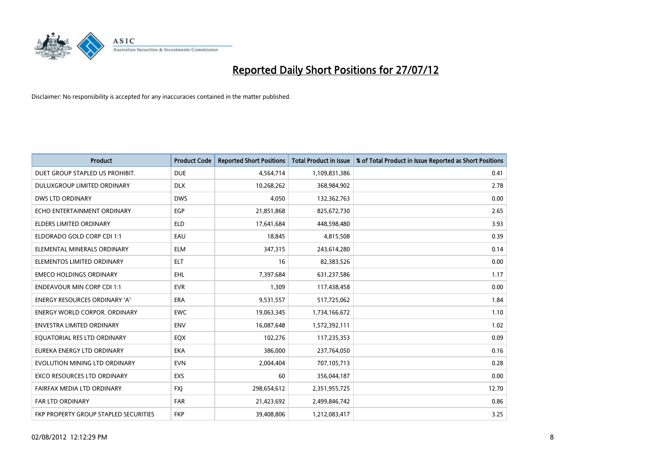

| <b>Product</b>                        | <b>Product Code</b> | <b>Reported Short Positions</b> | <b>Total Product in Issue</b> | % of Total Product in Issue Reported as Short Positions |
|---------------------------------------|---------------------|---------------------------------|-------------------------------|---------------------------------------------------------|
| DUET GROUP STAPLED US PROHIBIT.       | <b>DUE</b>          | 4,564,714                       | 1,109,831,386                 | 0.41                                                    |
| DULUXGROUP LIMITED ORDINARY           | <b>DLX</b>          | 10,268,262                      | 368,984,902                   | 2.78                                                    |
| <b>DWS LTD ORDINARY</b>               | <b>DWS</b>          | 4.050                           | 132,362,763                   | 0.00                                                    |
| ECHO ENTERTAINMENT ORDINARY           | <b>EGP</b>          | 21,851,868                      | 825,672,730                   | 2.65                                                    |
| <b>ELDERS LIMITED ORDINARY</b>        | <b>ELD</b>          | 17,641,684                      | 448,598,480                   | 3.93                                                    |
| ELDORADO GOLD CORP CDI 1:1            | EAU                 | 18,845                          | 4,815,508                     | 0.39                                                    |
| ELEMENTAL MINERALS ORDINARY           | <b>ELM</b>          | 347,315                         | 243,614,280                   | 0.14                                                    |
| ELEMENTOS LIMITED ORDINARY            | <b>ELT</b>          | 16                              | 82,383,526                    | 0.00                                                    |
| <b>EMECO HOLDINGS ORDINARY</b>        | <b>EHL</b>          | 7,397,684                       | 631,237,586                   | 1.17                                                    |
| <b>ENDEAVOUR MIN CORP CDI 1:1</b>     | <b>EVR</b>          | 1,309                           | 117,438,458                   | 0.00                                                    |
| ENERGY RESOURCES ORDINARY 'A'         | <b>ERA</b>          | 9,531,557                       | 517,725,062                   | 1.84                                                    |
| <b>ENERGY WORLD CORPOR, ORDINARY</b>  | <b>EWC</b>          | 19,063,345                      | 1,734,166,672                 | 1.10                                                    |
| <b>ENVESTRA LIMITED ORDINARY</b>      | <b>ENV</b>          | 16,087,648                      | 1,572,392,111                 | 1.02                                                    |
| EQUATORIAL RES LTD ORDINARY           | EQX                 | 102,276                         | 117,235,353                   | 0.09                                                    |
| EUREKA ENERGY LTD ORDINARY            | <b>EKA</b>          | 386,000                         | 237,764,050                   | 0.16                                                    |
| EVOLUTION MINING LTD ORDINARY         | <b>EVN</b>          | 2,004,404                       | 707,105,713                   | 0.28                                                    |
| <b>EXCO RESOURCES LTD ORDINARY</b>    | EXS                 | 60                              | 356,044,187                   | 0.00                                                    |
| FAIRFAX MEDIA LTD ORDINARY            | <b>FXJ</b>          | 298,654,612                     | 2,351,955,725                 | 12.70                                                   |
| <b>FAR LTD ORDINARY</b>               | <b>FAR</b>          | 21,423,692                      | 2,499,846,742                 | 0.86                                                    |
| FKP PROPERTY GROUP STAPLED SECURITIES | <b>FKP</b>          | 39.408.806                      | 1,212,083,417                 | 3.25                                                    |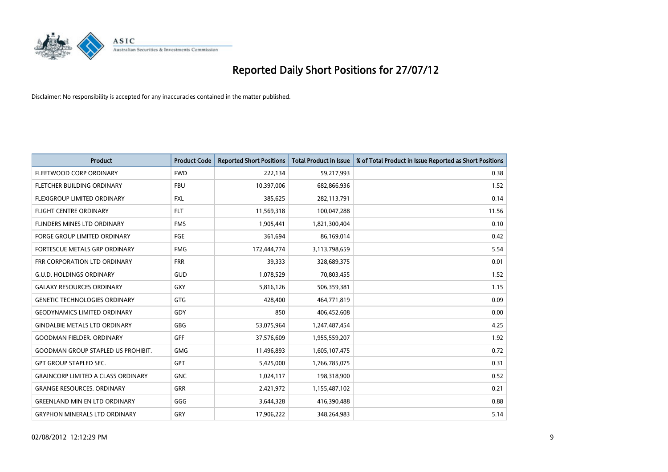

| <b>Product</b>                            | <b>Product Code</b> | <b>Reported Short Positions</b> | <b>Total Product in Issue</b> | % of Total Product in Issue Reported as Short Positions |
|-------------------------------------------|---------------------|---------------------------------|-------------------------------|---------------------------------------------------------|
| FLEETWOOD CORP ORDINARY                   | <b>FWD</b>          | 222,134                         | 59,217,993                    | 0.38                                                    |
| <b>FLETCHER BUILDING ORDINARY</b>         | <b>FBU</b>          | 10,397,006                      | 682,866,936                   | 1.52                                                    |
| <b>FLEXIGROUP LIMITED ORDINARY</b>        | <b>FXL</b>          | 385,625                         | 282,113,791                   | 0.14                                                    |
| <b>FLIGHT CENTRE ORDINARY</b>             | <b>FLT</b>          | 11,569,318                      | 100,047,288                   | 11.56                                                   |
| FLINDERS MINES LTD ORDINARY               | <b>FMS</b>          | 1,905,441                       | 1,821,300,404                 | 0.10                                                    |
| <b>FORGE GROUP LIMITED ORDINARY</b>       | FGE                 | 361,694                         | 86,169,014                    | 0.42                                                    |
| FORTESCUE METALS GRP ORDINARY             | <b>FMG</b>          | 172,444,774                     | 3,113,798,659                 | 5.54                                                    |
| FRR CORPORATION LTD ORDINARY              | <b>FRR</b>          | 39,333                          | 328,689,375                   | 0.01                                                    |
| <b>G.U.D. HOLDINGS ORDINARY</b>           | GUD                 | 1,078,529                       | 70,803,455                    | 1.52                                                    |
| <b>GALAXY RESOURCES ORDINARY</b>          | <b>GXY</b>          | 5,816,126                       | 506,359,381                   | 1.15                                                    |
| <b>GENETIC TECHNOLOGIES ORDINARY</b>      | <b>GTG</b>          | 428,400                         | 464,771,819                   | 0.09                                                    |
| <b>GEODYNAMICS LIMITED ORDINARY</b>       | GDY                 | 850                             | 406,452,608                   | 0.00                                                    |
| <b>GINDALBIE METALS LTD ORDINARY</b>      | <b>GBG</b>          | 53,075,964                      | 1,247,487,454                 | 4.25                                                    |
| <b>GOODMAN FIELDER, ORDINARY</b>          | <b>GFF</b>          | 37,576,609                      | 1,955,559,207                 | 1.92                                                    |
| <b>GOODMAN GROUP STAPLED US PROHIBIT.</b> | <b>GMG</b>          | 11,496,893                      | 1,605,107,475                 | 0.72                                                    |
| <b>GPT GROUP STAPLED SEC.</b>             | <b>GPT</b>          | 5,425,000                       | 1,766,785,075                 | 0.31                                                    |
| <b>GRAINCORP LIMITED A CLASS ORDINARY</b> | <b>GNC</b>          | 1,024,117                       | 198,318,900                   | 0.52                                                    |
| <b>GRANGE RESOURCES. ORDINARY</b>         | <b>GRR</b>          | 2,421,972                       | 1,155,487,102                 | 0.21                                                    |
| <b>GREENLAND MIN EN LTD ORDINARY</b>      | GGG                 | 3,644,328                       | 416,390,488                   | 0.88                                                    |
| <b>GRYPHON MINERALS LTD ORDINARY</b>      | GRY                 | 17,906,222                      | 348,264,983                   | 5.14                                                    |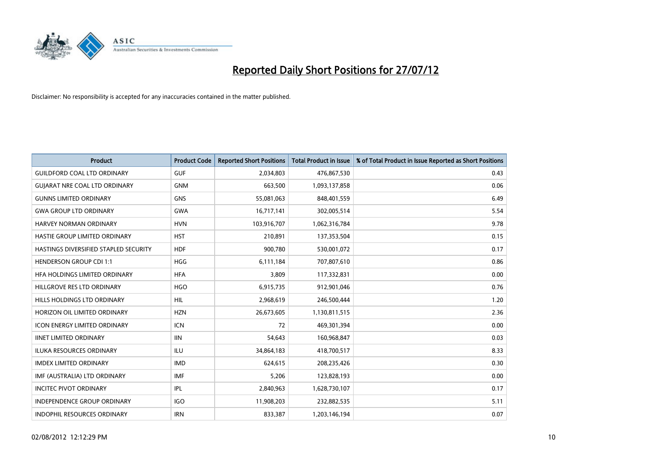

| <b>Product</b>                        | <b>Product Code</b> | <b>Reported Short Positions</b> | <b>Total Product in Issue</b> | % of Total Product in Issue Reported as Short Positions |
|---------------------------------------|---------------------|---------------------------------|-------------------------------|---------------------------------------------------------|
| <b>GUILDFORD COAL LTD ORDINARY</b>    | <b>GUF</b>          | 2,034,803                       | 476,867,530                   | 0.43                                                    |
| <b>GUIARAT NRE COAL LTD ORDINARY</b>  | <b>GNM</b>          | 663,500                         | 1,093,137,858                 | 0.06                                                    |
| <b>GUNNS LIMITED ORDINARY</b>         | <b>GNS</b>          | 55,081,063                      | 848,401,559                   | 6.49                                                    |
| <b>GWA GROUP LTD ORDINARY</b>         | <b>GWA</b>          | 16,717,141                      | 302,005,514                   | 5.54                                                    |
| <b>HARVEY NORMAN ORDINARY</b>         | <b>HVN</b>          | 103,916,707                     | 1,062,316,784                 | 9.78                                                    |
| HASTIE GROUP LIMITED ORDINARY         | <b>HST</b>          | 210,891                         | 137,353,504                   | 0.15                                                    |
| HASTINGS DIVERSIFIED STAPLED SECURITY | <b>HDF</b>          | 900,780                         | 530,001,072                   | 0.17                                                    |
| <b>HENDERSON GROUP CDI 1:1</b>        | <b>HGG</b>          | 6,111,184                       | 707,807,610                   | 0.86                                                    |
| HFA HOLDINGS LIMITED ORDINARY         | <b>HFA</b>          | 3,809                           | 117,332,831                   | 0.00                                                    |
| HILLGROVE RES LTD ORDINARY            | <b>HGO</b>          | 6,915,735                       | 912,901,046                   | 0.76                                                    |
| HILLS HOLDINGS LTD ORDINARY           | <b>HIL</b>          | 2,968,619                       | 246,500,444                   | 1.20                                                    |
| HORIZON OIL LIMITED ORDINARY          | <b>HZN</b>          | 26,673,605                      | 1,130,811,515                 | 2.36                                                    |
| <b>ICON ENERGY LIMITED ORDINARY</b>   | <b>ICN</b>          | 72                              | 469,301,394                   | 0.00                                                    |
| <b>IINET LIMITED ORDINARY</b>         | <b>IIN</b>          | 54,643                          | 160,968,847                   | 0.03                                                    |
| ILUKA RESOURCES ORDINARY              | ILU                 | 34,864,183                      | 418,700,517                   | 8.33                                                    |
| <b>IMDEX LIMITED ORDINARY</b>         | <b>IMD</b>          | 624.615                         | 208,235,426                   | 0.30                                                    |
| IMF (AUSTRALIA) LTD ORDINARY          | <b>IMF</b>          | 5,206                           | 123,828,193                   | 0.00                                                    |
| <b>INCITEC PIVOT ORDINARY</b>         | IPL                 | 2,840,963                       | 1,628,730,107                 | 0.17                                                    |
| <b>INDEPENDENCE GROUP ORDINARY</b>    | <b>IGO</b>          | 11,908,203                      | 232,882,535                   | 5.11                                                    |
| INDOPHIL RESOURCES ORDINARY           | <b>IRN</b>          | 833,387                         | 1,203,146,194                 | 0.07                                                    |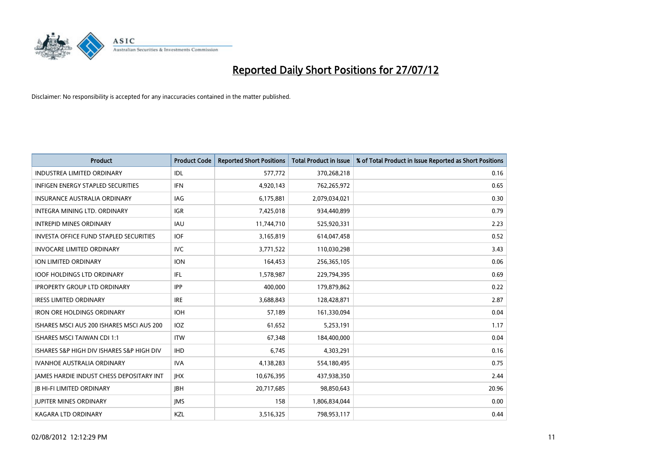

| <b>Product</b>                                  | <b>Product Code</b> | <b>Reported Short Positions</b> | <b>Total Product in Issue</b> | % of Total Product in Issue Reported as Short Positions |
|-------------------------------------------------|---------------------|---------------------------------|-------------------------------|---------------------------------------------------------|
| <b>INDUSTREA LIMITED ORDINARY</b>               | <b>IDL</b>          | 577,772                         | 370,268,218                   | 0.16                                                    |
| INFIGEN ENERGY STAPLED SECURITIES               | <b>IFN</b>          | 4,920,143                       | 762,265,972                   | 0.65                                                    |
| <b>INSURANCE AUSTRALIA ORDINARY</b>             | IAG                 | 6,175,881                       | 2,079,034,021                 | 0.30                                                    |
| INTEGRA MINING LTD. ORDINARY                    | <b>IGR</b>          | 7,425,018                       | 934,440,899                   | 0.79                                                    |
| <b>INTREPID MINES ORDINARY</b>                  | <b>IAU</b>          | 11,744,710                      | 525,920,331                   | 2.23                                                    |
| <b>INVESTA OFFICE FUND STAPLED SECURITIES</b>   | <b>IOF</b>          | 3,165,819                       | 614,047,458                   | 0.52                                                    |
| <b>INVOCARE LIMITED ORDINARY</b>                | <b>IVC</b>          | 3,771,522                       | 110,030,298                   | 3.43                                                    |
| ION LIMITED ORDINARY                            | <b>ION</b>          | 164,453                         | 256,365,105                   | 0.06                                                    |
| <b>IOOF HOLDINGS LTD ORDINARY</b>               | <b>IFL</b>          | 1,578,987                       | 229,794,395                   | 0.69                                                    |
| <b>IPROPERTY GROUP LTD ORDINARY</b>             | <b>IPP</b>          | 400.000                         | 179,879,862                   | 0.22                                                    |
| <b>IRESS LIMITED ORDINARY</b>                   | <b>IRE</b>          | 3,688,843                       | 128,428,871                   | 2.87                                                    |
| <b>IRON ORE HOLDINGS ORDINARY</b>               | <b>IOH</b>          | 57,189                          | 161,330,094                   | 0.04                                                    |
| ISHARES MSCI AUS 200 ISHARES MSCI AUS 200       | <b>IOZ</b>          | 61,652                          | 5,253,191                     | 1.17                                                    |
| <b>ISHARES MSCI TAIWAN CDI 1:1</b>              | <b>ITW</b>          | 67,348                          | 184,400,000                   | 0.04                                                    |
| ISHARES S&P HIGH DIV ISHARES S&P HIGH DIV       | <b>IHD</b>          | 6,745                           | 4,303,291                     | 0.16                                                    |
| IVANHOE AUSTRALIA ORDINARY                      | <b>IVA</b>          | 4,138,283                       | 554,180,495                   | 0.75                                                    |
| <b>JAMES HARDIE INDUST CHESS DEPOSITARY INT</b> | <b>IHX</b>          | 10,676,395                      | 437,938,350                   | 2.44                                                    |
| <b>JB HI-FI LIMITED ORDINARY</b>                | <b>IBH</b>          | 20,717,685                      | 98,850,643                    | 20.96                                                   |
| <b>IUPITER MINES ORDINARY</b>                   | <b>IMS</b>          | 158                             | 1,806,834,044                 | 0.00                                                    |
| <b>KAGARA LTD ORDINARY</b>                      | KZL                 | 3,516,325                       | 798,953,117                   | 0.44                                                    |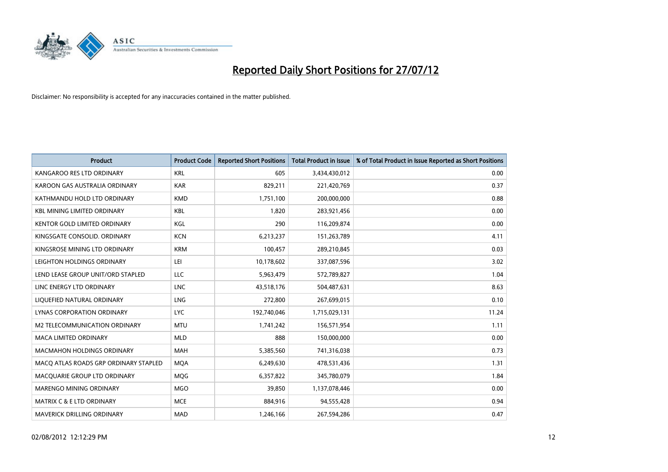

| <b>Product</b>                        | <b>Product Code</b> | <b>Reported Short Positions</b> | <b>Total Product in Issue</b> | % of Total Product in Issue Reported as Short Positions |
|---------------------------------------|---------------------|---------------------------------|-------------------------------|---------------------------------------------------------|
| KANGAROO RES LTD ORDINARY             | <b>KRL</b>          | 605                             | 3,434,430,012                 | 0.00                                                    |
| KAROON GAS AUSTRALIA ORDINARY         | <b>KAR</b>          | 829,211                         | 221,420,769                   | 0.37                                                    |
| KATHMANDU HOLD LTD ORDINARY           | <b>KMD</b>          | 1,751,100                       | 200,000,000                   | 0.88                                                    |
| <b>KBL MINING LIMITED ORDINARY</b>    | KBL                 | 1,820                           | 283,921,456                   | 0.00                                                    |
| <b>KENTOR GOLD LIMITED ORDINARY</b>   | KGL                 | 290                             | 116,209,874                   | 0.00                                                    |
| KINGSGATE CONSOLID, ORDINARY          | <b>KCN</b>          | 6,213,237                       | 151,263,789                   | 4.11                                                    |
| KINGSROSE MINING LTD ORDINARY         | <b>KRM</b>          | 100,457                         | 289,210,845                   | 0.03                                                    |
| LEIGHTON HOLDINGS ORDINARY            | LEI                 | 10,178,602                      | 337,087,596                   | 3.02                                                    |
| LEND LEASE GROUP UNIT/ORD STAPLED     | LLC                 | 5,963,479                       | 572,789,827                   | 1.04                                                    |
| LINC ENERGY LTD ORDINARY              | <b>LNC</b>          | 43,518,176                      | 504,487,631                   | 8.63                                                    |
| LIQUEFIED NATURAL ORDINARY            | <b>LNG</b>          | 272,800                         | 267,699,015                   | 0.10                                                    |
| LYNAS CORPORATION ORDINARY            | <b>LYC</b>          | 192,740,046                     | 1,715,029,131                 | 11.24                                                   |
| M2 TELECOMMUNICATION ORDINARY         | <b>MTU</b>          | 1,741,242                       | 156,571,954                   | 1.11                                                    |
| <b>MACA LIMITED ORDINARY</b>          | <b>MLD</b>          | 888                             | 150,000,000                   | 0.00                                                    |
| <b>MACMAHON HOLDINGS ORDINARY</b>     | <b>MAH</b>          | 5,385,560                       | 741,316,038                   | 0.73                                                    |
| MACQ ATLAS ROADS GRP ORDINARY STAPLED | <b>MOA</b>          | 6,249,630                       | 478,531,436                   | 1.31                                                    |
| MACQUARIE GROUP LTD ORDINARY          | MQG                 | 6,357,822                       | 345,780,079                   | 1.84                                                    |
| <b>MARENGO MINING ORDINARY</b>        | <b>MGO</b>          | 39,850                          | 1,137,078,446                 | 0.00                                                    |
| <b>MATRIX C &amp; E LTD ORDINARY</b>  | <b>MCE</b>          | 884,916                         | 94,555,428                    | 0.94                                                    |
| <b>MAVERICK DRILLING ORDINARY</b>     | <b>MAD</b>          | 1,246,166                       | 267,594,286                   | 0.47                                                    |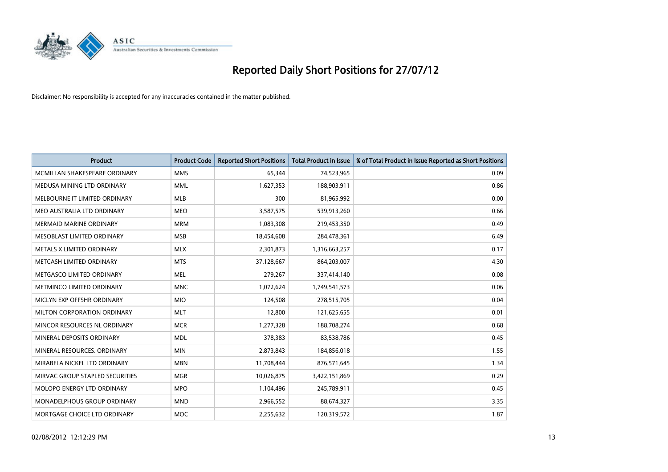

| <b>Product</b>                     | <b>Product Code</b> | <b>Reported Short Positions</b> | <b>Total Product in Issue</b> | % of Total Product in Issue Reported as Short Positions |
|------------------------------------|---------------------|---------------------------------|-------------------------------|---------------------------------------------------------|
| MCMILLAN SHAKESPEARE ORDINARY      | <b>MMS</b>          | 65,344                          | 74,523,965                    | 0.09                                                    |
| MEDUSA MINING LTD ORDINARY         | <b>MML</b>          | 1,627,353                       | 188,903,911                   | 0.86                                                    |
| MELBOURNE IT LIMITED ORDINARY      | <b>MLB</b>          | 300                             | 81,965,992                    | 0.00                                                    |
| MEO AUSTRALIA LTD ORDINARY         | <b>MEO</b>          | 3,587,575                       | 539,913,260                   | 0.66                                                    |
| <b>MERMAID MARINE ORDINARY</b>     | <b>MRM</b>          | 1,083,308                       | 219,453,350                   | 0.49                                                    |
| MESOBLAST LIMITED ORDINARY         | <b>MSB</b>          | 18,454,608                      | 284,478,361                   | 6.49                                                    |
| METALS X LIMITED ORDINARY          | <b>MLX</b>          | 2,301,873                       | 1,316,663,257                 | 0.17                                                    |
| METCASH LIMITED ORDINARY           | <b>MTS</b>          | 37,128,667                      | 864,203,007                   | 4.30                                                    |
| METGASCO LIMITED ORDINARY          | <b>MEL</b>          | 279,267                         | 337,414,140                   | 0.08                                                    |
| METMINCO LIMITED ORDINARY          | <b>MNC</b>          | 1,072,624                       | 1,749,541,573                 | 0.06                                                    |
| MICLYN EXP OFFSHR ORDINARY         | <b>MIO</b>          | 124,508                         | 278,515,705                   | 0.04                                                    |
| <b>MILTON CORPORATION ORDINARY</b> | <b>MLT</b>          | 12,800                          | 121,625,655                   | 0.01                                                    |
| MINCOR RESOURCES NL ORDINARY       | <b>MCR</b>          | 1,277,328                       | 188,708,274                   | 0.68                                                    |
| MINERAL DEPOSITS ORDINARY          | <b>MDL</b>          | 378,383                         | 83,538,786                    | 0.45                                                    |
| MINERAL RESOURCES, ORDINARY        | <b>MIN</b>          | 2,873,843                       | 184,856,018                   | 1.55                                                    |
| MIRABELA NICKEL LTD ORDINARY       | <b>MBN</b>          | 11,708,444                      | 876,571,645                   | 1.34                                                    |
| MIRVAC GROUP STAPLED SECURITIES    | <b>MGR</b>          | 10,026,875                      | 3,422,151,869                 | 0.29                                                    |
| MOLOPO ENERGY LTD ORDINARY         | <b>MPO</b>          | 1,104,496                       | 245,789,911                   | 0.45                                                    |
| <b>MONADELPHOUS GROUP ORDINARY</b> | <b>MND</b>          | 2,966,552                       | 88,674,327                    | 3.35                                                    |
| MORTGAGE CHOICE LTD ORDINARY       | <b>MOC</b>          | 2,255,632                       | 120,319,572                   | 1.87                                                    |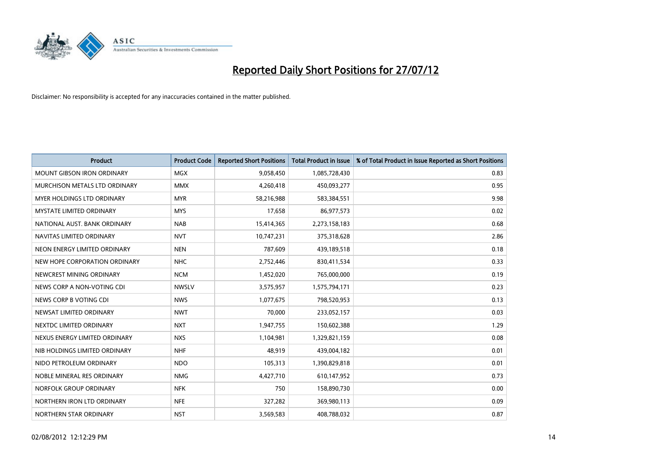

| <b>Product</b>                    | <b>Product Code</b> | <b>Reported Short Positions</b> | <b>Total Product in Issue</b> | % of Total Product in Issue Reported as Short Positions |
|-----------------------------------|---------------------|---------------------------------|-------------------------------|---------------------------------------------------------|
| <b>MOUNT GIBSON IRON ORDINARY</b> | <b>MGX</b>          | 9,058,450                       | 1,085,728,430                 | 0.83                                                    |
| MURCHISON METALS LTD ORDINARY     | <b>MMX</b>          | 4,260,418                       | 450,093,277                   | 0.95                                                    |
| <b>MYER HOLDINGS LTD ORDINARY</b> | <b>MYR</b>          | 58,216,988                      | 583,384,551                   | 9.98                                                    |
| <b>MYSTATE LIMITED ORDINARY</b>   | <b>MYS</b>          | 17,658                          | 86,977,573                    | 0.02                                                    |
| NATIONAL AUST, BANK ORDINARY      | <b>NAB</b>          | 15,414,365                      | 2,273,158,183                 | 0.68                                                    |
| NAVITAS LIMITED ORDINARY          | <b>NVT</b>          | 10,747,231                      | 375,318,628                   | 2.86                                                    |
| NEON ENERGY LIMITED ORDINARY      | <b>NEN</b>          | 787,609                         | 439,189,518                   | 0.18                                                    |
| NEW HOPE CORPORATION ORDINARY     | <b>NHC</b>          | 2,752,446                       | 830,411,534                   | 0.33                                                    |
| NEWCREST MINING ORDINARY          | <b>NCM</b>          | 1,452,020                       | 765,000,000                   | 0.19                                                    |
| NEWS CORP A NON-VOTING CDI        | <b>NWSLV</b>        | 3,575,957                       | 1,575,794,171                 | 0.23                                                    |
| NEWS CORP B VOTING CDI            | <b>NWS</b>          | 1,077,675                       | 798,520,953                   | 0.13                                                    |
| NEWSAT LIMITED ORDINARY           | <b>NWT</b>          | 70,000                          | 233,052,157                   | 0.03                                                    |
| NEXTDC LIMITED ORDINARY           | <b>NXT</b>          | 1,947,755                       | 150,602,388                   | 1.29                                                    |
| NEXUS ENERGY LIMITED ORDINARY     | <b>NXS</b>          | 1,104,981                       | 1,329,821,159                 | 0.08                                                    |
| NIB HOLDINGS LIMITED ORDINARY     | <b>NHF</b>          | 48.919                          | 439,004,182                   | 0.01                                                    |
| NIDO PETROLEUM ORDINARY           | <b>NDO</b>          | 105,313                         | 1,390,829,818                 | 0.01                                                    |
| NOBLE MINERAL RES ORDINARY        | <b>NMG</b>          | 4,427,710                       | 610,147,952                   | 0.73                                                    |
| NORFOLK GROUP ORDINARY            | <b>NFK</b>          | 750                             | 158,890,730                   | 0.00                                                    |
| NORTHERN IRON LTD ORDINARY        | <b>NFE</b>          | 327,282                         | 369,980,113                   | 0.09                                                    |
| NORTHERN STAR ORDINARY            | <b>NST</b>          | 3,569,583                       | 408,788,032                   | 0.87                                                    |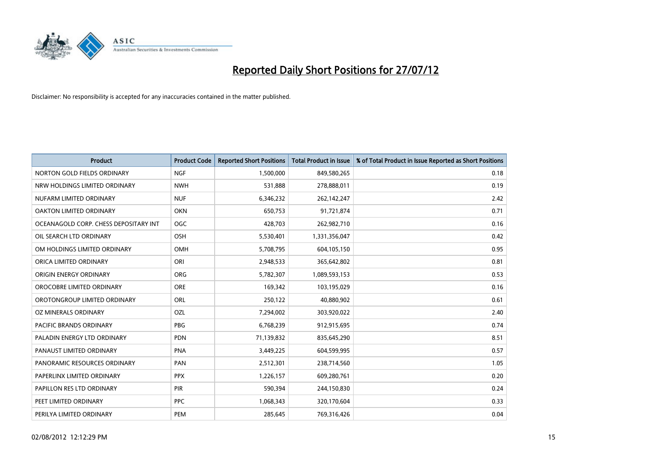

| <b>Product</b>                        | <b>Product Code</b> | <b>Reported Short Positions</b> | <b>Total Product in Issue</b> | % of Total Product in Issue Reported as Short Positions |
|---------------------------------------|---------------------|---------------------------------|-------------------------------|---------------------------------------------------------|
| NORTON GOLD FIELDS ORDINARY           | <b>NGF</b>          | 1,500,000                       | 849,580,265                   | 0.18                                                    |
| NRW HOLDINGS LIMITED ORDINARY         | <b>NWH</b>          | 531,888                         | 278,888,011                   | 0.19                                                    |
| NUFARM LIMITED ORDINARY               | <b>NUF</b>          | 6,346,232                       | 262,142,247                   | 2.42                                                    |
| OAKTON LIMITED ORDINARY               | OKN                 | 650,753                         | 91,721,874                    | 0.71                                                    |
| OCEANAGOLD CORP. CHESS DEPOSITARY INT | OGC                 | 428,703                         | 262,982,710                   | 0.16                                                    |
| OIL SEARCH LTD ORDINARY               | <b>OSH</b>          | 5,530,401                       | 1,331,356,047                 | 0.42                                                    |
| OM HOLDINGS LIMITED ORDINARY          | OMH                 | 5,708,795                       | 604,105,150                   | 0.95                                                    |
| ORICA LIMITED ORDINARY                | ORI                 | 2,948,533                       | 365,642,802                   | 0.81                                                    |
| ORIGIN ENERGY ORDINARY                | <b>ORG</b>          | 5,782,307                       | 1,089,593,153                 | 0.53                                                    |
| OROCOBRE LIMITED ORDINARY             | <b>ORE</b>          | 169,342                         | 103,195,029                   | 0.16                                                    |
| OROTONGROUP LIMITED ORDINARY          | <b>ORL</b>          | 250,122                         | 40,880,902                    | 0.61                                                    |
| OZ MINERALS ORDINARY                  | OZL                 | 7,294,002                       | 303,920,022                   | 2.40                                                    |
| PACIFIC BRANDS ORDINARY               | <b>PBG</b>          | 6,768,239                       | 912,915,695                   | 0.74                                                    |
| PALADIN ENERGY LTD ORDINARY           | <b>PDN</b>          | 71,139,832                      | 835,645,290                   | 8.51                                                    |
| PANAUST LIMITED ORDINARY              | <b>PNA</b>          | 3,449,225                       | 604,599,995                   | 0.57                                                    |
| PANORAMIC RESOURCES ORDINARY          | PAN                 | 2,512,301                       | 238,714,560                   | 1.05                                                    |
| PAPERLINX LIMITED ORDINARY            | <b>PPX</b>          | 1,226,157                       | 609,280,761                   | 0.20                                                    |
| PAPILLON RES LTD ORDINARY             | PIR                 | 590,394                         | 244,150,830                   | 0.24                                                    |
| PEET LIMITED ORDINARY                 | <b>PPC</b>          | 1,068,343                       | 320,170,604                   | 0.33                                                    |
| PERILYA LIMITED ORDINARY              | PEM                 | 285,645                         | 769,316,426                   | 0.04                                                    |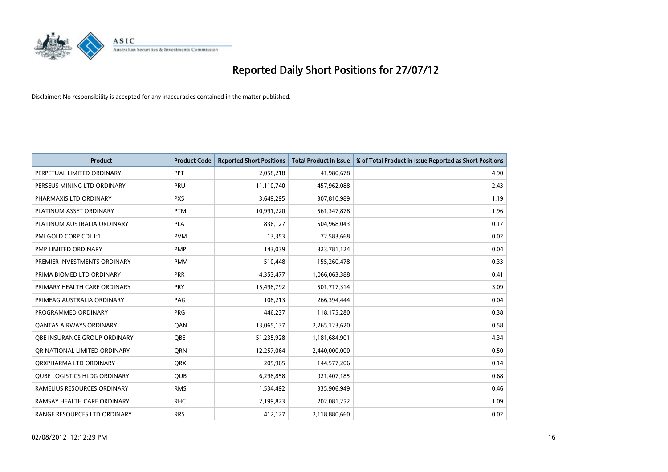

| <b>Product</b>                      | <b>Product Code</b> | <b>Reported Short Positions</b> | <b>Total Product in Issue</b> | % of Total Product in Issue Reported as Short Positions |
|-------------------------------------|---------------------|---------------------------------|-------------------------------|---------------------------------------------------------|
| PERPETUAL LIMITED ORDINARY          | PPT                 | 2,058,218                       | 41,980,678                    | 4.90                                                    |
| PERSEUS MINING LTD ORDINARY         | PRU                 | 11,110,740                      | 457,962,088                   | 2.43                                                    |
| PHARMAXIS LTD ORDINARY              | <b>PXS</b>          | 3,649,295                       | 307,810,989                   | 1.19                                                    |
| PLATINUM ASSET ORDINARY             | <b>PTM</b>          | 10,991,220                      | 561,347,878                   | 1.96                                                    |
| PLATINUM AUSTRALIA ORDINARY         | <b>PLA</b>          | 836,127                         | 504,968,043                   | 0.17                                                    |
| PMI GOLD CORP CDI 1:1               | <b>PVM</b>          | 13,353                          | 72,583,668                    | 0.02                                                    |
| PMP LIMITED ORDINARY                | <b>PMP</b>          | 143,039                         | 323,781,124                   | 0.04                                                    |
| PREMIER INVESTMENTS ORDINARY        | <b>PMV</b>          | 510,448                         | 155,260,478                   | 0.33                                                    |
| PRIMA BIOMED LTD ORDINARY           | <b>PRR</b>          | 4,353,477                       | 1,066,063,388                 | 0.41                                                    |
| PRIMARY HEALTH CARE ORDINARY        | <b>PRY</b>          | 15,498,792                      | 501,717,314                   | 3.09                                                    |
| PRIMEAG AUSTRALIA ORDINARY          | PAG                 | 108,213                         | 266,394,444                   | 0.04                                                    |
| PROGRAMMED ORDINARY                 | <b>PRG</b>          | 446,237                         | 118,175,280                   | 0.38                                                    |
| <b>QANTAS AIRWAYS ORDINARY</b>      | QAN                 | 13,065,137                      | 2,265,123,620                 | 0.58                                                    |
| <b>OBE INSURANCE GROUP ORDINARY</b> | <b>OBE</b>          | 51,235,928                      | 1,181,684,901                 | 4.34                                                    |
| OR NATIONAL LIMITED ORDINARY        | <b>ORN</b>          | 12,257,064                      | 2,440,000,000                 | 0.50                                                    |
| ORXPHARMA LTD ORDINARY              | <b>QRX</b>          | 205,965                         | 144,577,206                   | 0.14                                                    |
| <b>QUBE LOGISTICS HLDG ORDINARY</b> | QUB                 | 6,298,858                       | 921,407,185                   | 0.68                                                    |
| RAMELIUS RESOURCES ORDINARY         | <b>RMS</b>          | 1,534,492                       | 335,906,949                   | 0.46                                                    |
| RAMSAY HEALTH CARE ORDINARY         | <b>RHC</b>          | 2,199,823                       | 202,081,252                   | 1.09                                                    |
| RANGE RESOURCES LTD ORDINARY        | <b>RRS</b>          | 412,127                         | 2,118,880,660                 | 0.02                                                    |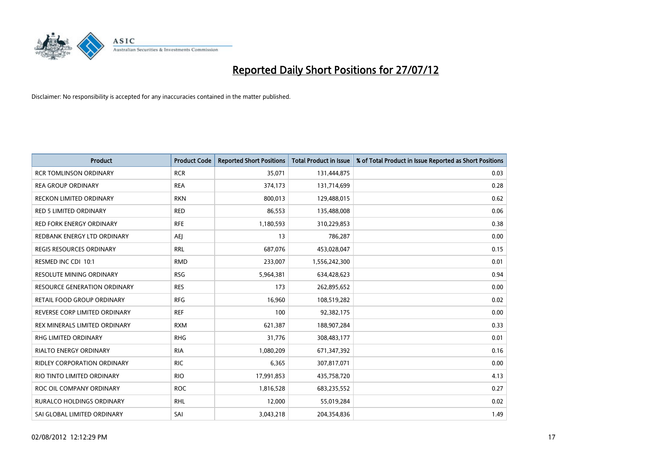

| <b>Product</b>                      | <b>Product Code</b> | <b>Reported Short Positions</b> | <b>Total Product in Issue</b> | % of Total Product in Issue Reported as Short Positions |
|-------------------------------------|---------------------|---------------------------------|-------------------------------|---------------------------------------------------------|
| <b>RCR TOMLINSON ORDINARY</b>       | <b>RCR</b>          | 35,071                          | 131,444,875                   | 0.03                                                    |
| <b>REA GROUP ORDINARY</b>           | <b>REA</b>          | 374,173                         | 131,714,699                   | 0.28                                                    |
| <b>RECKON LIMITED ORDINARY</b>      | <b>RKN</b>          | 800,013                         | 129,488,015                   | 0.62                                                    |
| <b>RED 5 LIMITED ORDINARY</b>       | <b>RED</b>          | 86,553                          | 135,488,008                   | 0.06                                                    |
| <b>RED FORK ENERGY ORDINARY</b>     | <b>RFE</b>          | 1,180,593                       | 310,229,853                   | 0.38                                                    |
| REDBANK ENERGY LTD ORDINARY         | AEJ                 | 13                              | 786,287                       | 0.00                                                    |
| REGIS RESOURCES ORDINARY            | <b>RRL</b>          | 687,076                         | 453,028,047                   | 0.15                                                    |
| RESMED INC CDI 10:1                 | <b>RMD</b>          | 233,007                         | 1,556,242,300                 | 0.01                                                    |
| <b>RESOLUTE MINING ORDINARY</b>     | <b>RSG</b>          | 5,964,381                       | 634,428,623                   | 0.94                                                    |
| <b>RESOURCE GENERATION ORDINARY</b> | <b>RES</b>          | 173                             | 262,895,652                   | 0.00                                                    |
| RETAIL FOOD GROUP ORDINARY          | <b>RFG</b>          | 16,960                          | 108,519,282                   | 0.02                                                    |
| REVERSE CORP LIMITED ORDINARY       | <b>REF</b>          | 100                             | 92,382,175                    | 0.00                                                    |
| REX MINERALS LIMITED ORDINARY       | <b>RXM</b>          | 621,387                         | 188,907,284                   | 0.33                                                    |
| <b>RHG LIMITED ORDINARY</b>         | <b>RHG</b>          | 31,776                          | 308,483,177                   | 0.01                                                    |
| <b>RIALTO ENERGY ORDINARY</b>       | <b>RIA</b>          | 1,080,209                       | 671,347,392                   | 0.16                                                    |
| RIDLEY CORPORATION ORDINARY         | <b>RIC</b>          | 6,365                           | 307,817,071                   | 0.00                                                    |
| RIO TINTO LIMITED ORDINARY          | <b>RIO</b>          | 17,991,853                      | 435,758,720                   | 4.13                                                    |
| ROC OIL COMPANY ORDINARY            | <b>ROC</b>          | 1,816,528                       | 683,235,552                   | 0.27                                                    |
| <b>RURALCO HOLDINGS ORDINARY</b>    | <b>RHL</b>          | 12,000                          | 55,019,284                    | 0.02                                                    |
| SAI GLOBAL LIMITED ORDINARY         | SAI                 | 3,043,218                       | 204,354,836                   | 1.49                                                    |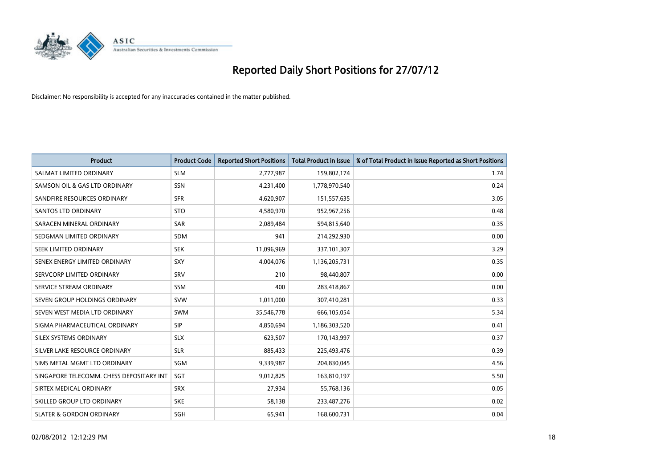

| <b>Product</b>                           | <b>Product Code</b> | <b>Reported Short Positions</b> | <b>Total Product in Issue</b> | % of Total Product in Issue Reported as Short Positions |
|------------------------------------------|---------------------|---------------------------------|-------------------------------|---------------------------------------------------------|
| SALMAT LIMITED ORDINARY                  | <b>SLM</b>          | 2,777,987                       | 159,802,174                   | 1.74                                                    |
| SAMSON OIL & GAS LTD ORDINARY            | SSN                 | 4,231,400                       | 1,778,970,540                 | 0.24                                                    |
| SANDFIRE RESOURCES ORDINARY              | <b>SFR</b>          | 4,620,907                       | 151,557,635                   | 3.05                                                    |
| <b>SANTOS LTD ORDINARY</b>               | <b>STO</b>          | 4,580,970                       | 952,967,256                   | 0.48                                                    |
| SARACEN MINERAL ORDINARY                 | SAR                 | 2,089,484                       | 594,815,640                   | 0.35                                                    |
| SEDGMAN LIMITED ORDINARY                 | <b>SDM</b>          | 941                             | 214,292,930                   | 0.00                                                    |
| SEEK LIMITED ORDINARY                    | <b>SEK</b>          | 11,096,969                      | 337,101,307                   | 3.29                                                    |
| SENEX ENERGY LIMITED ORDINARY            | SXY                 | 4,004,076                       | 1,136,205,731                 | 0.35                                                    |
| SERVCORP LIMITED ORDINARY                | SRV                 | 210                             | 98,440,807                    | 0.00                                                    |
| SERVICE STREAM ORDINARY                  | <b>SSM</b>          | 400                             | 283,418,867                   | 0.00                                                    |
| SEVEN GROUP HOLDINGS ORDINARY            | <b>SVW</b>          | 1,011,000                       | 307,410,281                   | 0.33                                                    |
| SEVEN WEST MEDIA LTD ORDINARY            | <b>SWM</b>          | 35,546,778                      | 666,105,054                   | 5.34                                                    |
| SIGMA PHARMACEUTICAL ORDINARY            | <b>SIP</b>          | 4,850,694                       | 1,186,303,520                 | 0.41                                                    |
| SILEX SYSTEMS ORDINARY                   | <b>SLX</b>          | 623,507                         | 170,143,997                   | 0.37                                                    |
| SILVER LAKE RESOURCE ORDINARY            | <b>SLR</b>          | 885,433                         | 225,493,476                   | 0.39                                                    |
| SIMS METAL MGMT LTD ORDINARY             | SGM                 | 9,339,987                       | 204,830,045                   | 4.56                                                    |
| SINGAPORE TELECOMM. CHESS DEPOSITARY INT | SGT                 | 9,012,825                       | 163,810,197                   | 5.50                                                    |
| SIRTEX MEDICAL ORDINARY                  | <b>SRX</b>          | 27,934                          | 55,768,136                    | 0.05                                                    |
| SKILLED GROUP LTD ORDINARY               | <b>SKE</b>          | 58,138                          | 233,487,276                   | 0.02                                                    |
| <b>SLATER &amp; GORDON ORDINARY</b>      | SGH                 | 65,941                          | 168,600,731                   | 0.04                                                    |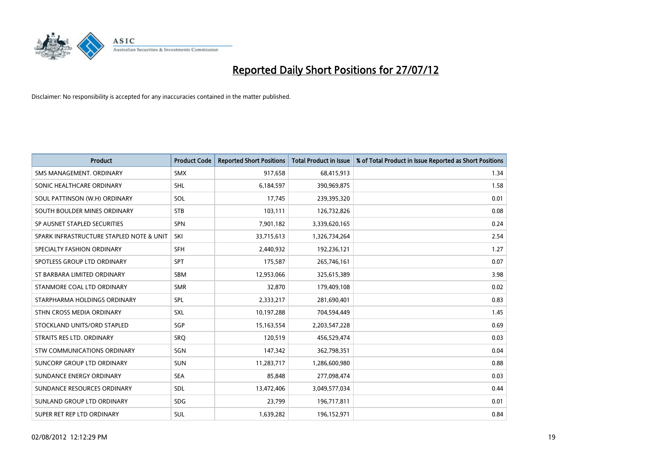

| <b>Product</b>                           | <b>Product Code</b> | <b>Reported Short Positions</b> | <b>Total Product in Issue</b> | % of Total Product in Issue Reported as Short Positions |
|------------------------------------------|---------------------|---------------------------------|-------------------------------|---------------------------------------------------------|
| SMS MANAGEMENT, ORDINARY                 | <b>SMX</b>          | 917,658                         | 68,415,913                    | 1.34                                                    |
| SONIC HEALTHCARE ORDINARY                | <b>SHL</b>          | 6,184,597                       | 390,969,875                   | 1.58                                                    |
| SOUL PATTINSON (W.H) ORDINARY            | SOL                 | 17,745                          | 239,395,320                   | 0.01                                                    |
| SOUTH BOULDER MINES ORDINARY             | <b>STB</b>          | 103,111                         | 126,732,826                   | 0.08                                                    |
| SP AUSNET STAPLED SECURITIES             | <b>SPN</b>          | 7,901,182                       | 3,339,620,165                 | 0.24                                                    |
| SPARK INFRASTRUCTURE STAPLED NOTE & UNIT | SKI                 | 33,715,613                      | 1,326,734,264                 | 2.54                                                    |
| SPECIALTY FASHION ORDINARY               | <b>SFH</b>          | 2,440,932                       | 192,236,121                   | 1.27                                                    |
| SPOTLESS GROUP LTD ORDINARY              | <b>SPT</b>          | 175,587                         | 265,746,161                   | 0.07                                                    |
| ST BARBARA LIMITED ORDINARY              | <b>SBM</b>          | 12,953,066                      | 325,615,389                   | 3.98                                                    |
| STANMORE COAL LTD ORDINARY               | <b>SMR</b>          | 32,870                          | 179,409,108                   | 0.02                                                    |
| STARPHARMA HOLDINGS ORDINARY             | <b>SPL</b>          | 2,333,217                       | 281,690,401                   | 0.83                                                    |
| STHN CROSS MEDIA ORDINARY                | <b>SXL</b>          | 10,197,288                      | 704,594,449                   | 1.45                                                    |
| STOCKLAND UNITS/ORD STAPLED              | SGP                 | 15,163,554                      | 2,203,547,228                 | 0.69                                                    |
| STRAITS RES LTD. ORDINARY                | SRO                 | 120,519                         | 456,529,474                   | 0.03                                                    |
| STW COMMUNICATIONS ORDINARY              | SGN                 | 147,342                         | 362,798,351                   | 0.04                                                    |
| SUNCORP GROUP LTD ORDINARY               | <b>SUN</b>          | 11,283,717                      | 1,286,600,980                 | 0.88                                                    |
| SUNDANCE ENERGY ORDINARY                 | <b>SEA</b>          | 85,848                          | 277,098,474                   | 0.03                                                    |
| SUNDANCE RESOURCES ORDINARY              | <b>SDL</b>          | 13,472,406                      | 3,049,577,034                 | 0.44                                                    |
| SUNLAND GROUP LTD ORDINARY               | <b>SDG</b>          | 23,799                          | 196,717,811                   | 0.01                                                    |
| SUPER RET REP LTD ORDINARY               | <b>SUL</b>          | 1,639,282                       | 196,152,971                   | 0.84                                                    |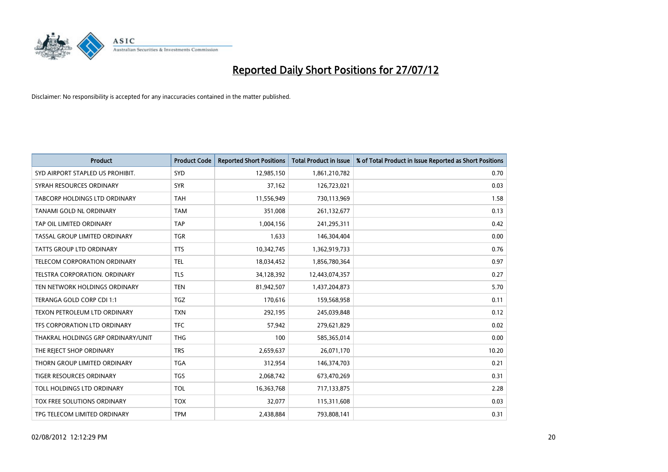

| <b>Product</b>                       | <b>Product Code</b> | <b>Reported Short Positions</b> | <b>Total Product in Issue</b> | % of Total Product in Issue Reported as Short Positions |
|--------------------------------------|---------------------|---------------------------------|-------------------------------|---------------------------------------------------------|
| SYD AIRPORT STAPLED US PROHIBIT.     | <b>SYD</b>          | 12,985,150                      | 1,861,210,782                 | 0.70                                                    |
| SYRAH RESOURCES ORDINARY             | <b>SYR</b>          | 37,162                          | 126,723,021                   | 0.03                                                    |
| <b>TABCORP HOLDINGS LTD ORDINARY</b> | <b>TAH</b>          | 11,556,949                      | 730,113,969                   | 1.58                                                    |
| TANAMI GOLD NL ORDINARY              | <b>TAM</b>          | 351,008                         | 261,132,677                   | 0.13                                                    |
| TAP OIL LIMITED ORDINARY             | TAP                 | 1,004,156                       | 241,295,311                   | 0.42                                                    |
| TASSAL GROUP LIMITED ORDINARY        | <b>TGR</b>          | 1,633                           | 146,304,404                   | 0.00                                                    |
| <b>TATTS GROUP LTD ORDINARY</b>      | <b>TTS</b>          | 10,342,745                      | 1,362,919,733                 | 0.76                                                    |
| <b>TELECOM CORPORATION ORDINARY</b>  | <b>TEL</b>          | 18,034,452                      | 1,856,780,364                 | 0.97                                                    |
| TELSTRA CORPORATION. ORDINARY        | <b>TLS</b>          | 34,128,392                      | 12,443,074,357                | 0.27                                                    |
| TEN NETWORK HOLDINGS ORDINARY        | <b>TEN</b>          | 81,942,507                      | 1,437,204,873                 | 5.70                                                    |
| TERANGA GOLD CORP CDI 1:1            | <b>TGZ</b>          | 170,616                         | 159,568,958                   | 0.11                                                    |
| TEXON PETROLEUM LTD ORDINARY         | <b>TXN</b>          | 292,195                         | 245,039,848                   | 0.12                                                    |
| TFS CORPORATION LTD ORDINARY         | <b>TFC</b>          | 57,942                          | 279,621,829                   | 0.02                                                    |
| THAKRAL HOLDINGS GRP ORDINARY/UNIT   | <b>THG</b>          | 100                             | 585,365,014                   | 0.00                                                    |
| THE REJECT SHOP ORDINARY             | <b>TRS</b>          | 2,659,637                       | 26,071,170                    | 10.20                                                   |
| THORN GROUP LIMITED ORDINARY         | <b>TGA</b>          | 312,954                         | 146,374,703                   | 0.21                                                    |
| <b>TIGER RESOURCES ORDINARY</b>      | <b>TGS</b>          | 2,068,742                       | 673,470,269                   | 0.31                                                    |
| TOLL HOLDINGS LTD ORDINARY           | <b>TOL</b>          | 16,363,768                      | 717,133,875                   | 2.28                                                    |
| <b>TOX FREE SOLUTIONS ORDINARY</b>   | <b>TOX</b>          | 32,077                          | 115,311,608                   | 0.03                                                    |
| TPG TELECOM LIMITED ORDINARY         | <b>TPM</b>          | 2.438.884                       | 793,808,141                   | 0.31                                                    |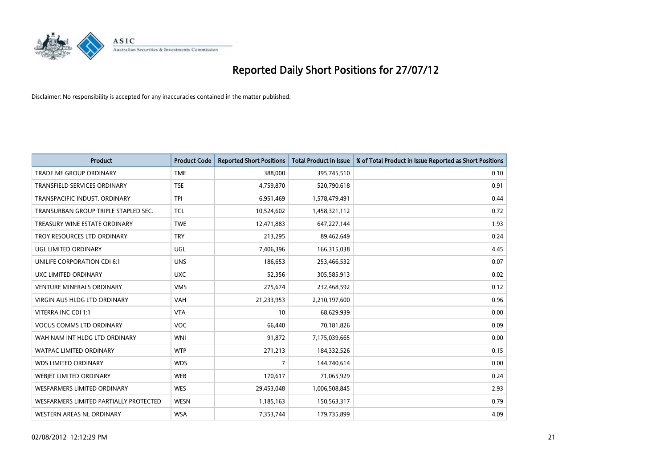

| <b>Product</b>                         | <b>Product Code</b> | <b>Reported Short Positions</b> | <b>Total Product in Issue</b> | % of Total Product in Issue Reported as Short Positions |
|----------------------------------------|---------------------|---------------------------------|-------------------------------|---------------------------------------------------------|
| <b>TRADE ME GROUP ORDINARY</b>         | <b>TME</b>          | 388,000                         | 395,745,510                   | 0.10                                                    |
| TRANSFIELD SERVICES ORDINARY           | <b>TSE</b>          | 4,759,870                       | 520,790,618                   | 0.91                                                    |
| TRANSPACIFIC INDUST, ORDINARY          | <b>TPI</b>          | 6,951,469                       | 1,578,479,491                 | 0.44                                                    |
| TRANSURBAN GROUP TRIPLE STAPLED SEC.   | <b>TCL</b>          | 10,524,602                      | 1,458,321,112                 | 0.72                                                    |
| TREASURY WINE ESTATE ORDINARY          | <b>TWE</b>          | 12,471,883                      | 647,227,144                   | 1.93                                                    |
| TROY RESOURCES LTD ORDINARY            | <b>TRY</b>          | 213,295                         | 89,462,649                    | 0.24                                                    |
| UGL LIMITED ORDINARY                   | UGL                 | 7,406,396                       | 166,315,038                   | 4.45                                                    |
| UNILIFE CORPORATION CDI 6:1            | <b>UNS</b>          | 186,653                         | 253,466,532                   | 0.07                                                    |
| UXC LIMITED ORDINARY                   | <b>UXC</b>          | 52,356                          | 305,585,913                   | 0.02                                                    |
| <b>VENTURE MINERALS ORDINARY</b>       | <b>VMS</b>          | 275,674                         | 232,468,592                   | 0.12                                                    |
| VIRGIN AUS HLDG LTD ORDINARY           | <b>VAH</b>          | 21,233,953                      | 2,210,197,600                 | 0.96                                                    |
| VITERRA INC CDI 1:1                    | <b>VTA</b>          | 10                              | 68,629,939                    | 0.00                                                    |
| <b>VOCUS COMMS LTD ORDINARY</b>        | VOC                 | 66,440                          | 70,181,826                    | 0.09                                                    |
| WAH NAM INT HLDG LTD ORDINARY          | <b>WNI</b>          | 91,872                          | 7,175,039,665                 | 0.00                                                    |
| <b>WATPAC LIMITED ORDINARY</b>         | <b>WTP</b>          | 271,213                         | 184,332,526                   | 0.15                                                    |
| <b>WDS LIMITED ORDINARY</b>            | <b>WDS</b>          | 7                               | 144,740,614                   | 0.00                                                    |
| WEBIET LIMITED ORDINARY                | <b>WEB</b>          | 170,617                         | 71,065,929                    | 0.24                                                    |
| <b>WESFARMERS LIMITED ORDINARY</b>     | <b>WES</b>          | 29,453,048                      | 1,006,508,845                 | 2.93                                                    |
| WESFARMERS LIMITED PARTIALLY PROTECTED | <b>WESN</b>         | 1,185,163                       | 150,563,317                   | 0.79                                                    |
| WESTERN AREAS NL ORDINARY              | <b>WSA</b>          | 7,353,744                       | 179,735,899                   | 4.09                                                    |